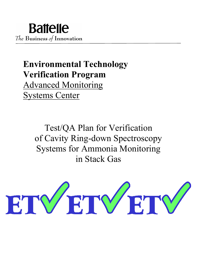# **Environmental Technology Verification Program** Advanced Monitoring Systems Center

Test/QA Plan for Verification of Cavity Ring-down Spectroscopy Systems for Ammonia Monitoring in Stack Gas

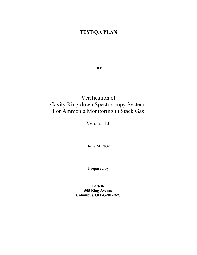## **TEST/QA PLAN**

**for**

## Verification of Cavity Ring-down Spectroscopy Systems For Ammonia Monitoring in Stack Gas

Version 1.0

**June 24, 2009** 

**Prepared by**

**Battelle 505 King Avenue Columbus, OH 43201-2693**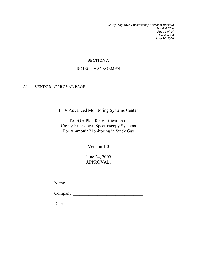*Cavity Ring-down Spectroscopy Ammonia Monitors Test/QA Plan Page 1 of 44 Version 1.0 June 24, 2009*

#### **SECTION A**

#### PROJECT MANAGEMENT

#### A1 VENDOR APPROVAL PAGE

ETV Advanced Monitoring Systems Center

Test/QA Plan for Verification of Cavity Ring-down Spectroscopy Systems For Ammonia Monitoring in Stack Gas

Version 1.0

June 24, 2009 APPROVAL:

Name \_\_\_\_\_\_\_\_\_\_\_\_\_\_\_\_\_\_\_\_\_\_\_\_\_\_\_\_\_\_\_\_\_\_

Company \_\_\_\_\_\_\_\_\_\_\_\_\_\_\_\_\_\_\_\_\_\_\_\_\_\_\_\_\_\_\_

Date \_\_\_\_\_\_\_\_\_\_\_\_\_\_\_\_\_\_\_\_\_\_\_\_\_\_\_\_\_\_\_\_\_\_\_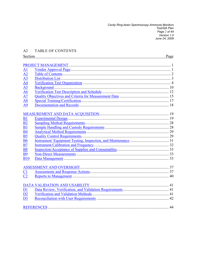Cavity Ring-down Spectroscopy Ammonia Monitors<br>Test/QA Plan<br>Page 2 of 44<br>Version 1.0 June 24, 2009

#### TABLE OF CONTENTS  $A2$

| Section         | Page |
|-----------------|------|
|                 |      |
|                 |      |
| A1              |      |
| A2              |      |
| A <sub>3</sub>  |      |
| $\overline{A4}$ |      |
| A <sub>5</sub>  |      |
| A6              |      |
| A7              |      |
| A8              |      |
| A <sub>9</sub>  |      |
|                 |      |
|                 |      |
| B1              |      |
| B <sub>2</sub>  |      |
| <b>B3</b>       |      |
| <b>B4</b>       |      |
| <b>B5</b>       |      |
| <b>B6</b>       |      |
| B7              |      |
| <b>B8</b>       |      |
| <b>B9</b>       |      |
| <b>B10</b>      |      |
|                 |      |
|                 |      |
| C1              |      |
| C <sub>2</sub>  |      |
|                 |      |
|                 |      |
| D1              |      |
| D2              |      |
| D <sub>3</sub>  |      |
|                 |      |
|                 |      |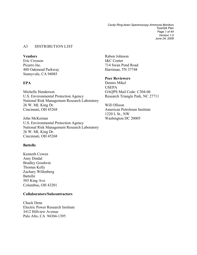*Cavity Ring-down Spectroscopy Ammonia Monitors Test/QA Plan Page 3 of 44 Version 1.0 June 24, 2009*

#### A3 DISTRIBUTION LIST

#### **Vendors**

Eric Crosson Picarro Inc. 480 Oakmead Parkway Sunnyvale, CA 94085

#### **EPA**

Michelle Henderson U.S. Environmental Protection Agency National Risk Management Research Laboratory 26 W. ML King Dr. Cincinnati, OH 45268

John McKernan U.S. Environmental Protection Agency National Risk Management Research Laboratory 26 W. ML King Dr. Cincinnati, OH 45268

#### **Battelle**

Kenneth Cowen Amy Dindal Bradley Goodwin Thomas Kelly Zachary Willenberg Battelle 505 King Ave. Columbus, OH 43201

#### **Collaborators/Subcontractors**

Chuck Dene Electric Power Research Institute 3412 Hillview Avenue Palo Alto, CA 94304-1395

Rabon Johnson I&C Center 714 Swan Pond Road Harriman, TN 37748

#### **Peer Reviewers**

Dennis Mikel USEPA OAQPS Mail Code: C304-06 Research Triangle Park, NC 27711

Will Ollison American Petroleum Institute 1220 L St., NW Washington DC 20005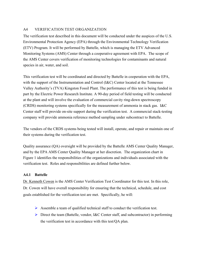### A4 VERIFICATION TEST ORGANIZATION

The verification test described in this document will be conducted under the auspices of the U.S. Environmental Protection Agency (EPA) through the Environmental Technology Verification (ETV) Program. It will be performed by Battelle, which is managing the ETV Advanced Monitoring Systems (AMS) Center through a cooperative agreement with EPA. The scope of the AMS Center covers verification of monitoring technologies for contaminants and natural species in air, water, and soil.

This verification test will be coordinated and directed by Battelle in cooperation with the EPA, with the support of the Instrumentation and Control (I&C) Center located at the Tennessee Valley Authority's (TVA) Kingston Fossil Plant. The performance of this test is being funded in part by the Electric Power Research Institute. A 90-day period of field testing will be conducted at the plant and will involve the evaluation of commercial cavity ring-down spectroscopy (CRDS) monitoring systems specifically for the measurement of ammonia in stack gas. I&C Center staff will provide on-site support during the verification test. A commercial stack-testing company will provide ammonia reference method sampling under subcontract to Battelle.

The vendors of the CRDS systems being tested will install, operate, and repair or maintain one of their systems during the verification test.

Quality assurance (QA) oversight will be provided by the Battelle AMS Center Quality Manager, and by the EPA AMS Center Quality Manager at her discretion. The organization chart in Figure 1 identifies the responsibilities of the organizations and individuals associated with the verification test. Roles and responsibilities are defined further below.

#### **A4.1 Battelle**

Dr. Kenneth Cowen is the AMS Center Verification Test Coordinator for this test. In this role, Dr. Cowen will have overall responsibility for ensuring that the technical, schedule, and cost goals established for the verification test are met. Specifically, he will:

- $\triangleright$  Assemble a team of qualified technical staff to conduct the verification test.
- $\triangleright$  Direct the team (Battelle, vendor, I&C Center staff, and subcontractor) in performing the verification test in accordance with this test/QA plan.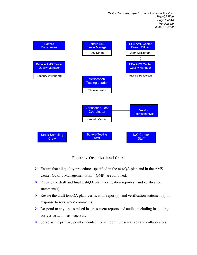

**Figure 1. Organizational Chart** 

- $\triangleright$  Ensure that all quality procedures specified in the test/OA plan and in the AMS Center Quality Management  $Plan<sup>1</sup> (OMP)$  are followed.
- Prepare the draft and final test/QA plan, verification report(s), and verification statement(s).
- Revise the draft test/QA plan, verification report(s), and verification statement(s) in response to reviewers' comments.
- $\triangleright$  Respond to any issues raised in assessment reports and audits, including instituting corrective action as necessary.
- $\triangleright$  Serve as the primary point of contact for vendor representatives and collaborators.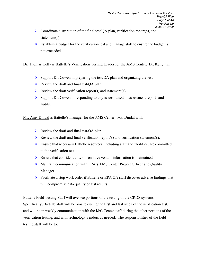- $\triangleright$  Coordinate distribution of the final test/QA plan, verification report(s), and statement(s).
- $\triangleright$  Establish a budget for the verification test and manage staff to ensure the budget is not exceeded.

Dr. Thomas Kelly is Battelle's Verification Testing Leader for the AMS Center. Dr. Kelly will:

- $\triangleright$  Support Dr. Cowen in preparing the test/QA plan and organizing the test.
- $\triangleright$  Review the draft and final test/QA plan.
- Review the draft verification report(s) and statement(s).
- $\triangleright$  Support Dr. Cowen in responding to any issues raised in assessment reports and audits.

Ms. Amy Dindal is Battelle's manager for the AMS Center. Ms. Dindal will:

- $\triangleright$  Review the draft and final test/QA plan.
- Review the draft and final verification report(s) and verification statement(s).
- $\triangleright$  Ensure that necessary Battelle resources, including staff and facilities, are committed to the verification test.
- $\triangleright$  Ensure that confidentiality of sensitive vendor information is maintained.
- $\triangleright$  Maintain communication with EPA's AMS Center Project Officer and Quality Manager.
- ▶ Facilitate a stop work order if Battelle or EPA OA staff discover adverse findings that will compromise data quality or test results.

Battelle Field Testing Staff will oversee portions of the testing of the CRDS systems.

Specifically, Battelle staff will be on-site during the first and last week of the verification test, and will be in weekly communication with the I&C Center staff during the other portions of the verification testing, and with technology vendors as needed. The responsibilities of the field testing staff will be to: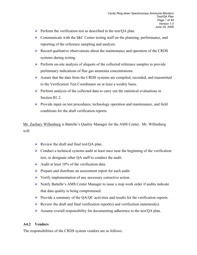- $\triangleright$  Perform the verification test as described in the test/OA plan.
- $\triangleright$  Communicate with the I&C Center testing staff on the planning, performance, and reporting of the reference sampling and analysis.
- $\triangleright$  Record qualitative observations about the maintenance and operation of the CRDS systems during testing.
- $\triangleright$  Perform on-site analysis of aliquots of the collected reference samples to provide preliminary indications of flue gas ammonia concentrations.
- $\triangleright$  Assure that the data from the CRDS systems are compiled, recorded, and transmitted to the Verification Test Coordinator on at least a weekly basis.
- $\triangleright$  Perform analysis of the collected data to carry out the statistical evaluations in Section B1.2.
- $\triangleright$  Provide input on test procedures, technology operation and maintenance, and field conditions for the draft verification reports.

Mr. Zachary Willenberg is Battelle's Quality Manager for the AMS Center. Mr. Willenberg will:

- $\triangleright$  Review the draft and final test/QA plan.
- $\triangleright$  Conduct a technical systems audit at least once near the beginning of the verification test, or designate other QA staff to conduct the audit.
- Audit at least  $10\%$  of the verification data.
- Prepare and distribute an assessment report for each audit.
- $\triangleright$  Verify implementation of any necessary corrective action.
- $\triangleright$  Notify Battelle's AMS Center Manager to issue a stop work order if audits indicate that data quality is being compromised.
- Provide a summary of the QA/QC activities and results for the verification reports.
- Review the draft and final verification report(s) and verification statement(s).
- $\triangleright$  Assume overall responsibility for documenting adherence to the test/QA plan.

#### **A4.2 Vendors**

The responsibilities of the CRDS system vendors are as follows: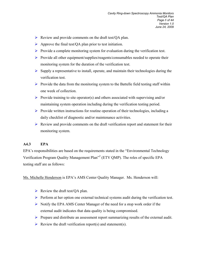- $\triangleright$  Review and provide comments on the draft test/QA plan.
- $\triangleright$  Approve the final test/QA plan prior to test initiation.
- $\triangleright$  Provide a complete monitoring system for evaluation during the verification test.
- Provide all other equipment/supplies/reagents/consumables needed to operate their monitoring system for the duration of the verification test.
- $\triangleright$  Supply a representative to install, operate, and maintain their technologies during the verification test.
- $\triangleright$  Provide the data from the monitoring system to the Battelle field testing staff within one week of collection.
- Provide training to site operator(s) and others associated with supervising and/or maintaining system operation including during the verification testing period.
- $\triangleright$  Provide written instructions for routine operation of their technologies, including a daily checklist of diagnostic and/or maintenance activities.
- $\triangleright$  Review and provide comments on the draft verification report and statement for their monitoring system.

#### **A4.3 EPA**

EPA's responsibilities are based on the requirements stated in the "Environmental Technology Verification Program Quality Management Plan<sup>32</sup> (ETV QMP). The roles of specific EPA testing staff are as follows:

Ms. Michelle Henderson is EPA's AMS Center Quality Manager. Ms. Henderson will:

- Exercise Newthered et al.  $\triangleright$  Review the draft test/QA plan.
- $\triangleright$  Perform at her option one external technical systems audit during the verification test.
- $\triangleright$  Notify the EPA AMS Center Manager of the need for a stop work order if the external audit indicates that data quality is being compromised.
- $\triangleright$  Prepare and distribute an assessment report summarizing results of the external audit.
- Review the draft verification report(s) and statement(s).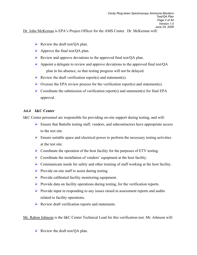Dr. John McKernan is EPA's Project Officer for the AMS Center. Dr. McKernan will:

- $\triangleright$  Review the draft test/QA plan.
- $\triangleright$  Approve the final test/QA plan.
- $\triangleright$  Review and approve deviations to the approved final test/QA plan.
- $\triangleright$  Appoint a delegate to review and approve deviations to the approved final test/QA plan in his absence, so that testing progress will not be delayed.
- Review the draft verification report(s) and statement(s).
- $\triangleright$  Oversee the EPA review process for the verification report(s) and statement(s).
- $\triangleright$  Coordinate the submission of verification report(s) and statement(s) for final EPA approval.

#### **A4.4 I&C Center**

I&C Center personnel are responsible for providing on-site support during testing, and will:

- $\triangleright$  Ensure that Battelle testing staff, vendors, and subcontractors have appropriate access to the test site.
- $\triangleright$  Ensure suitable space and electrical power to perform the necessary testing activities at the test site.
- $\triangleright$  Coordinate the operation of the host facility for the purposes of ETV testing.
- $\triangleright$  Coordinate the installation of vendors' equipment at the host facility.
- $\triangleright$  Communicate needs for safety and other training of staff working at the host facility.
- $\triangleright$  Provide on-site staff to assist during testing.
- $\triangleright$  Provide calibrated facility monitoring equipment.
- $\triangleright$  Provide data on facility operations during testing, for the verification reports.
- $\triangleright$  Provide input in responding to any issues raised in assessment reports and audits related to facility operations.
- $\triangleright$  Review draft verification reports and statements.

Mr. Rabon Johnson is the I&C Center Technical Lead for this verification test. Mr. Johnson will:

 $\triangleright$  Review the draft test/QA plan.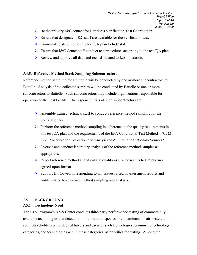- ▶ Be the primary I&C contact for Battelle's Verification Test Coordinator.
- $\triangleright$  Ensure that designated I&C staff are available for the verification test.
- $\triangleright$  Coordinate distribution of the test/QA plan to I&C staff.
- Ensure that I&C Center staff conduct test procedures according to the test/QA plan.
- $\triangleright$  Review and approve all data and records related to I&C operation.

#### **A4.5. Reference Method Stack Sampling Subcontractors**

Reference method sampling for ammonia will be conducted by one or more subcontractors to Battelle. Analysis of the collected samples will be conducted by Battelle or one or more subcontractors to Battelle. Such subcontractors may include organizations responsible for operation of the host facility. The responsibilities of such subcontractors are:

- Assemble trained technical staff to conduct reference method sampling for the verification test.
- $\triangleright$  Perform the reference method sampling in adherence to the quality requirements in this test/QA plan and the requirements of the EPA Conditional Test Method – (CTM-027) Procedure for Collection and Analysis of Ammonia in Stationary Sources.<sup>3</sup>
- $\triangleright$  Oversee and conduct laboratory analysis of the reference method samples as appropriate.
- $\triangleright$  Report reference method analytical and quality assurance results to Battelle in an agreed-upon format.
- $\triangleright$  Support Dr. Cowen in responding to any issues raised in assessment reports and audits related to reference method sampling and analysis.

#### A5 BACKGROUND

#### **A5.1 Technology Need**

The ETV Program's AMS Center conducts third-party performance testing of commercially available technologies that detect or monitor natural species or contaminants in air, water, and soil. Stakeholder committees of buyers and users of such technologies recommend technology categories, and technologies within those categories, as priorities for testing. Among the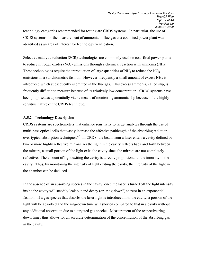technology categories recommended for testing are CRDS systems. In particular, the use of CRDS systems for the measurement of ammonia in flue gas at a coal fired power plant was identified as an area of interest for technology verification.

Selective catalytic reduction (SCR) technologies are commonly used on coal-fired power plants to reduce nitrogen oxides  $(NO_x)$  emissions through a chemical reaction with ammonia  $(NH_3)$ . These technologies require the introduction of large quantities of  $NH_3$  to reduce the  $NO<sub>x</sub>$ emissions in a stoichiometric fashion. However, frequently a small amount of excess NH<sub>3</sub> is introduced which subsequently is emitted in the flue gas. This excess ammonia, called slip, is frequently difficult to measure because of its relatively low concentration. CRDS systems have been proposed as a potentially viable means of monitoring ammonia slip because of the highly sensitive nature of the CRDS technique.

#### **A.5.2 Technology Description**

CRDS systems are spectrometers that enhance sensitivity to target analytes through the use of multi-pass optical cells that vastly increase the effective pathlength of the absorbing radiation over typical absorption techniques.<sup>4,5</sup> In CRDS, the beam from a laser enters a cavity defined by two or more highly reflective mirrors. As the light in the cavity reflects back and forth between the mirrors, a small portion of the light exits the cavity since the mirrors are not completely reflective. The amount of light exiting the cavity is directly proportional to the intensity in the cavity. Thus, by monitoring the intensity of light exiting the cavity, the intensity of the light in the chamber can be deduced.

In the absence of an absorbing species in the cavity, once the laser is turned off the light intensity inside the cavity will steadily leak out and decay (or "ring-down") to zero in an exponential fashion. If a gas species that absorbs the laser light is introduced into the cavity, a portion of the light will be absorbed and the ring-down time will shorten compared to that in a cavity without any additional absorption due to a targeted gas species. Measurement of the respective ringdown times thus allows for an accurate determination of the concentration of the absorbing gas in the cavity.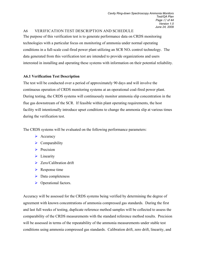#### A6 VERIFICATION TEST DESCRIPTION AND SCHEDULE

The purpose of this verification test is to generate performance data on CRDS monitoring technologies with a particular focus on monitoring of ammonia under normal operating conditions in a full-scale coal-fired power plant utilizing an SCR NOx control technology. The data generated from this verification test are intended to provide organizations and users interested in installing and operating these systems with information on their potential reliability.

#### **A6.1 Verification Test Description**

The test will be conducted over a period of approximately 90 days and will involve the continuous operation of CRDS monitoring systems at an operational coal-fired power plant. During testing, the CRDS systems will continuously monitor ammonia slip concentration in the flue gas downstream of the SCR. If feasible within plant operating requirements, the host facility will intentionally introduce upset conditions to change the ammonia slip at various times during the verification test.

The CRDS systems will be evaluated on the following performance parameters:

- $\blacktriangleright$  Accuracy
- $\triangleright$  Comparability
- $\triangleright$  Precision
- $\blacktriangleright$  Linearity
- $\triangleright$  Zero/Calibration drift
- $\triangleright$  Response time
- $\triangleright$  Data completeness
- ▶ Operational factors.

Accuracy will be assessed for the CRDS systems being verified by determining the degree of agreement with known concentrations of ammonia compressed gas standards. During the first and last full weeks of testing, duplicate reference method samples will be collected to assess the comparability of the CRDS measurements with the standard reference method results. Precision will be assessed in terms of the repeatability of the ammonia measurements under stable test conditions using ammonia compressed gas standards. Calibration drift, zero drift, linearity, and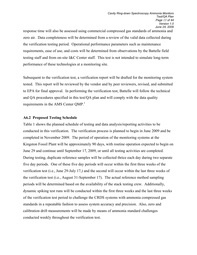response time will also be assessed using commercial compressed gas standards of ammonia and zero air. Data completeness will be determined from a review of the valid data collected during the verification testing period. Operational performance parameters such as maintenance requirements, ease of use, and costs will be determined from observations by the Battelle field testing staff and from on-site I&C Center staff. This test is not intended to simulate long-term performance of these technologies at a monitoring site.

Subsequent to the verification test, a verification report will be drafted for the monitoring system tested. This report will be reviewed by the vendor and by peer reviewers, revised, and submitted to EPA for final approval. In performing the verification test, Battelle will follow the technical and QA procedures specified in this test/QA plan and will comply with the data quality requirements in the AMS Center QMP.<sup>1</sup>

#### **A6.2 Proposed Testing Schedule**

Table 1 shows the planned schedule of testing and data analysis/reporting activities to be conducted in this verification. The verification process is planned to begin in June 2009 and be completed in November 2009. The period of operation of the monitoring systems at the Kingston Fossil Plant will be approximately 90 days, with routine operation expected to begin on June 29 and continue until September 17, 2009, or until all testing activities are completed. During testing, duplicate reference samples will be collected thrice each day during two separate five day periods. One of these five day periods will occur within the first three weeks of the verification test (i.e., June 29-July 17,) and the second will occur within the last three weeks of the verification test (i.e., August 31-September 17). The actual reference method sampling periods will be determined based on the availability of the stack testing crew. Additionally, dynamic spiking test runs will be conducted within the first three weeks and the last three weeks of the verification test period to challenge the CRDS systems with ammonia compressed gas standards in a repeatable fashion to assess system accuracy and precision. Also, zero and calibration drift measurements will be made by means of ammonia standard challenges conducted weekly throughout the verification test.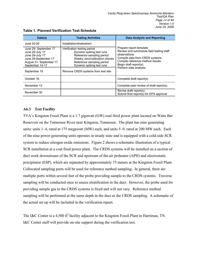| Date(s)                                                                                                                                           | <b>Testing Activities</b>                                                                                                                                                                                               | <b>Data Analysis and Reporting</b>                                                                                                                                                                          |
|---------------------------------------------------------------------------------------------------------------------------------------------------|-------------------------------------------------------------------------------------------------------------------------------------------------------------------------------------------------------------------------|-------------------------------------------------------------------------------------------------------------------------------------------------------------------------------------------------------------|
| June 25-26                                                                                                                                        | Installation/shakedown                                                                                                                                                                                                  |                                                                                                                                                                                                             |
| June 29- September 17<br>June 29-July 17<br>June 29-July 17<br>June 29-September 17<br>August 31- September 17<br>September 14-17<br>September 18 | Verification testing period<br>Dynamic spiking test runs<br>Reference sampling period<br>Weekly zero/calibration checks<br>Reference sampling period<br>Dynamic spiking test runs<br>Remove CRDS systems from test site | Prepare report template<br>Review and summarize field testing staff<br>observations<br>Compile data from CRDS systems<br>Compile reference method results<br>Begin draft report(s)<br>Perform data analysis |
| October 16                                                                                                                                        |                                                                                                                                                                                                                         | Complete draft report(s)                                                                                                                                                                                    |
| November 13                                                                                                                                       |                                                                                                                                                                                                                         | Complete peer review of draft report(s)                                                                                                                                                                     |
| November 30                                                                                                                                       |                                                                                                                                                                                                                         | Revise draft report(s)<br>Submit final report(s) for EPA approval                                                                                                                                           |

#### **Table 1. Planned Verification Test Schedule**

#### **A6.3 Test Facility**

TVA's Kingston Fossil Plant is a 1.7 gigawatt (GW) coal fired power plant located on Watts Bar Reservoir on the Tennessee River near Kingston, Tennessee. The plant has nine generating units: units 1–4, rated at 175 megawatt (MW) each, and units 5–9, rated at 200 MW each. Each of the nine power generating units operates in steady state and is equipped with a cold-side SCR system to reduce nitrogen oxide emissions. Figure 2 shows a schematic illustration of a typical SCR installation at a coal fired power plant. The CRDS systems will be installed on a section of duct work downstream of the SCR and upstream of the air preheater (APH) and electrostatic precipitator (ESP), which are separated by approximately 75 meters at the Kingston Fossil Plant. Collocated sampling ports will be used for reference method sampling. In general, there are multiple ports within several feet of the probe providing sample to the CRDS systems. Traverse sampling will be conducted once to assess stratification in the duct. However, the probe used for providing sample gas to the CRDS systems is fixed and will not vary. Reference method sampling will be performed at the same depth in the duct as the CRDS sampling. A schematic of the actual set up will be included in the verification report.

The I&C Center is a 4,500  $\text{ft}^2$  facility adjacent to the Kingston Fossil Plant in Harriman, TN. I&C Center staff will provide on-site support during the verification test.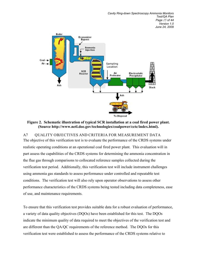

#### **Figure 2. Schematic illustration of typical SCR installation at a coal fired power plant. (Source http://www.netl.doe.gov/technologies/coalpower/cctc/index.html).**

A7 OUALITY OBJECTIVES AND CRITERIA FOR MEASUREMENT DATA The objective of this verification test is to evaluate the performance of the CRDS systems under realistic operating conditions at an operational coal fired power plant. This evaluation will in part assess the capabilities of the CRDS systems for determining the ammonia concentration in the flue gas through comparisons to collocated reference samples collected during the verification test period. Additionally, this verification test will include instrument challenges using ammonia gas standards to assess performance under controlled and repeatable test conditions. The verification test will also rely upon operator observations to assess other performance characteristics of the CRDS systems being tested including data completeness, ease of use, and maintenance requirements.

To ensure that this verification test provides suitable data for a robust evaluation of performance, a variety of data quality objectives (DQOs) have been established for this test. The DQOs indicate the minimum quality of data required to meet the objectives of the verification test and are different than the QA/QC requirements of the reference method. The DQOs for this verification test were established to assess the performance of the CRDS systems relative to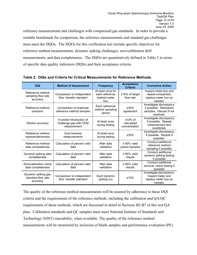reference measurements and challenges with compressed gas standards. In order to provide a suitable benchmark for comparison, the reference measurements and standard gas challenges must meet the DQOs. The DQOs for this verification test include specific objectives for reference method measurements, dynamic spiking challenges, zero/calibration drift measurements, and data completeness. The DQOs are quantitatively defined in Table 2 in terms of specific data quality indicators (DQIs) and their acceptance criteria.

| <b>DQI</b>                                            | <b>Method of Assessment</b>                                       | <b>Frequency</b>                                           | <b>Acceptance</b><br><b>Criteria</b>      | <b>Corrective Action</b>                                                                  |
|-------------------------------------------------------|-------------------------------------------------------------------|------------------------------------------------------------|-------------------------------------------|-------------------------------------------------------------------------------------------|
| Reference method<br>sampling flow rate<br>accuracy    | Comparison to independent<br>flow transfer standard               | At least once for<br>each reference<br>method meter<br>box | ±10% of target<br>flow rate               | Inspect meter box and<br>repeat comparison;<br>replace meter box as<br>needed.            |
| Reference method<br>precision                         | Comparison of duplicate<br>reference method samples               | Each reference<br>method sampling<br>period                | ±35%<br>agreement                         | Investigate discrepancy<br>if possible. Reanalyze<br>samples. Discard if not<br>resolved. |
| Dilution accuracy                                     | In-probe introduction of<br>challenge gas with CEM<br>measurement | At least once<br>during testing                            | $±10\%$ of<br>calculated<br>concentration | Investigate discrepancy<br>if possible. Repeat<br>measurement and<br>recalibrate.         |
| Reference method<br>representativeness                | Duct traverse<br>measurements                                     | At least once<br>during testing                            | ±35%                                      | Investigate discrepancy<br>if possible. Repeat if<br>possible.                            |
| Reference method<br>data completeness                 | Calculation of percent valid<br>data                              | After data<br>validation                                   | $\geq$ 80% valid<br>paired samples        | Conduct additional<br>reference method<br>sampling if possible                            |
| Dynamic spiking data<br>completeness                  | Calculation of percent valid<br>data                              | After data<br>validation                                   | $\geq 90\%$ valid<br>results              | Conduct additional<br>dynamic spiking testing<br>if possible                              |
| Zero/calibration check<br>data completeness           | Calculation of percent valid<br>data                              | After data<br>validation                                   | $\geq 90\%$ valid<br>results              | Conduct additional<br>zero/cal. check testing if<br>possible                              |
| Dynamic spiking gas<br>standard flow rate<br>accuracy | Comparison to independent<br>flow transfer standard               | Each dynamic<br>spiking run                                | ±10%                                      | Investigate discrepancy.<br>Inspect meter and<br>replace meter box as<br>needed.          |

**Table 2. DQIs and Criteria for Critical Measurements for Reference Methods.** 

The quality of the reference method measurements will be assured by adherence to these DQI criteria and the requirements of the reference methods, including the calibration and QA/QC requirements of those methods, which are discussed in detail in Sections B2-B7 of this test/QA plan. Calibration standards and QC samples must meet National Institute of Standards and Technology (NIST) traceability, when available. The quality of the reference method measurements will be monitored by inclusion of blank samples and performance evaluation (PE)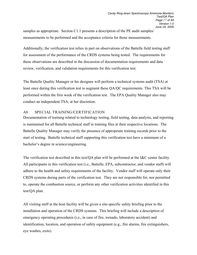samples as appropriate. Section C1.1 presents a description of the PE audit samples/ measurements to be performed and the acceptance criteria for those measurements.

Additionally, the verification test relies in part on observations of the Battelle field testing staff for assessment of the performance of the CRDS systems being tested. The requirements for these observations are described in the discussion of documentation requirements and data review, verification, and validation requirements for this verification test.

The Battelle Quality Manager or his designee will perform a technical systems audit (TSA) at least once during this verification test to augment these QA/QC requirements. This TSA will be performed within the first week of the verification test. The EPA Quality Manager also may conduct an independent TSA, at her discretion.

#### A8 SPECIAL TRAINING/CERTIFICATION

Documentation of training related to technology testing, field testing, data analysis, and reporting is maintained for all Battelle technical staff in training files at their respective locations. The Battelle Quality Manager may verify the presence of appropriate training records prior to the start of testing. Battelle technical staff supporting this verification test have a minimum of a bachelor's degree in science/engineering.

The verification test described in this test/QA plan will be performed at the I&C center facility. All participants in this verification test (i.e., Battelle, EPA, subcontractor, and vendor staff) will adhere to the health and safety requirements of the facility. Vendor staff will operate only their CRDS systems during parts of the verification test. They are not responsible for, nor permitted to, operate the combustion source, or perform any other verification activities identified in this test/QA plan.

All visiting staff at the host facility will be given a site-specific safety briefing prior to the installation and operation of the CRDS systems. This briefing will include a description of emergency operating procedures (i.e., in case of fire, tornado, laboratory accident) and identification, location, and operation of safety equipment (e.g., fire alarms, fire extinguishers, eye washes, exits).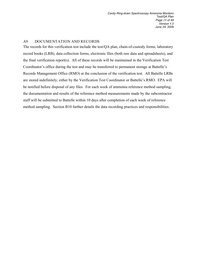#### A9 DOCUMENTATION AND RECORDS

The records for this verification test include the test/QA plan, chain-of-custody forms, laboratory record books (LRB), data collection forms, electronic files (both raw data and spreadsheets), and the final verification report(s). All of these records will be maintained in the Verification Test Coordinator's office during the test and may be transferred to permanent storage at Battelle's Records Management Office (RMO) at the conclusion of the verification test. All Battelle LRBs are stored indefinitely, either by the Verification Test Coordinator or Battelle's RMO. EPA will be notified before disposal of any files. For each week of ammonia reference method sampling, the documentation and results of the reference method measurements made by the subcontractor staff will be submitted to Battelle within 10 days after completion of each week of reference method sampling. Section B10 further details the data recording practices and responsibilities.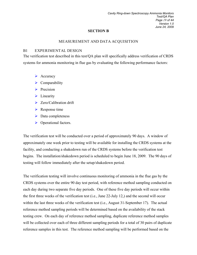#### **SECTION B**

#### MEASUREMENT AND DATA ACQUISITION

#### B1 EXPERIMENTAL DESIGN

The verification test described in this test/QA plan will specifically address verification of CRDS systems for ammonia monitoring in flue gas by evaluating the following performance factors:

- $\triangleright$  Accuracy
- $\triangleright$  Comparability
- $\triangleright$  Precision
- $\blacktriangleright$  Linearity
- $\triangleright$  Zero/Calibration drift
- $\triangleright$  Response time
- $\triangleright$  Data completeness
- ▶ Operational factors.

The verification test will be conducted over a period of approximately 90 days. A window of approximately one week prior to testing will be available for installing the CRDS systems at the facility, and conducting a shakedown run of the CRDS systems before the verification test begins. The installation/shakedown period is scheduled to begin June 18, 2009. The 90 days of testing will follow immediately after the setup/shakedown period.

The verification testing will involve continuous monitoring of ammonia in the flue gas by the CRDS systems over the entire 90 day test period, with reference method sampling conducted on each day during two separate five day periods. One of these five day periods will occur within the first three weeks of the verification test (i.e., June 22-July 12,) and the second will occur within the last three weeks of the verification test (i.e., August 31-September 17). The actual reference method sampling periods will be determined based on the availability of the stack testing crew. On each day of reference method sampling, duplicate reference method samples will be collected over each of three different sampling periods for a total of 30 pairs of duplicate reference samples in this test. The reference method sampling will be performed based on the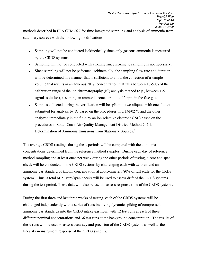methods described in EPA CTM-027 for time integrated sampling and analysis of ammonia from stationary sources with the following modifications:

- Sampling will not be conducted isokinetically since only gaseous ammonia is measured by the CRDS systems.
- Sampling will not be conducted with a nozzle since isokinetic sampling is not necessary.
- Since sampling will not be peformed isokinetcially, the sampling flow rate and duration will be determined in a manner that is sufficient to allow the collection of a sample volume that results in an aqueous  $NH_4^+$  concentration that falls between 10-50% of the calibration range of the ion chromatography (IC) analysis method (e.g., between 1-5 µg/mL solution), assuming an ammonia concentration of 2 ppm in the flue gas.
- Samples collected during the verification will be split into two aliquots with one aliquot submitted for analysis by IC based on the procedures in CTM-027 $^3$ , and the other analyzed immediately in the field by an ion selective electrode (ISE) based on the procedures in South Coast Air Quality Management District, Method 207.1: Determination of Ammonia Emissions from Stationary Sources.<sup>6</sup>

The average CRDS readings during these periods will be compared with the ammonia concentrations determined from the reference method samples. During each day of reference method sampling and at least once per week during the other periods of testing, a zero and span check will be conducted on the CRDS systems by challenging each with zero air and an ammonia gas standard of known concentration at approximately 80% of full scale for the CRDS system. Thus, a total of 21 zero/span checks will be used to assess drift of the CRDS systems during the test period. These data will also be used to assess response time of the CRDS systems.

During the first three and last three weeks of testing, each of the CRDS systems will be challenged independently with a series of runs involving dynamic spiking of compressed ammonia gas standards into the CRDS intake gas flow, with 12 test runs at each of three different nominal concentrations and 36 test runs at the background concentration. The results of these runs will be used to assess accuracy and precision of the CRDS systems as well as the linearity in instrument response of the CRDS systems.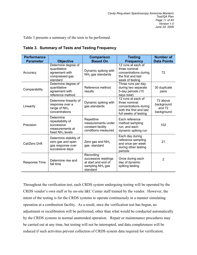Table 3 presents a summary of the tests to be performed.

|  |  |  | Table 3. Summary of Tests and Testing Frequency |  |
|--|--|--|-------------------------------------------------|--|
|--|--|--|-------------------------------------------------|--|

| <b>Performance</b><br><b>Parameter</b> | <b>Objective</b>                                                                     | <b>Comparison</b><br><b>Based On</b>                                                      | <b>Testing</b><br><b>Frequency</b>                                                                               | <b>Number of</b><br><b>Data Points</b>         |
|----------------------------------------|--------------------------------------------------------------------------------------|-------------------------------------------------------------------------------------------|------------------------------------------------------------------------------------------------------------------|------------------------------------------------|
| Accuracy                               | Determine degree of<br>quantitative<br>agreement with<br>compressed gas<br>standard  | Dynamic spiking with<br>$NH3$ gas standards                                               | 12 runs at each of<br>three nominal<br>concentrations during<br>the first and last<br>week of testing            | 72                                             |
| Comparability                          | Determine degree of<br>quantitative<br>agreement with<br>reference method            | Reference method<br>results                                                               | Three runs per day<br>during two separate<br>5-day periods (10<br>days total)                                    | 30 duplicate<br>pairs                          |
| Linearity                              | Determine linearity of<br>response over a<br>range of $NH3$<br>concentrations        | Dynamic spiking with<br>gas standards                                                     | 12 runs at each of<br>three nominal<br>concentrations during<br>both the first and last<br>full weeks of testing | 72 above<br>background<br>and 72<br>background |
| Precision                              | Determine<br>repeatability of<br>successive<br>measurements at<br>fixed $NH3$ levels | Repetitive<br>measurements under<br>constant facility<br>conditions measured              | Each reference<br>method sampling<br>run, and each<br>dynamic spiking run                                        | 102                                            |
| Cal/Zero Drift                         | Determine stability of<br>zero gas and span<br>gas response over<br>successive days  | Zero gas and $NH3$<br>gas standard                                                        | Each day during<br>reference sampling<br>and once per week<br>during other testing<br>periods                    | 21                                             |
| <b>Response Time</b>                   | Determine rise and<br>fall time                                                      | Recording<br>successive readings<br>at start and end of<br>sampling $NH3$ gas<br>standard | Once during each<br>day of dynamic<br>spiking testing                                                            | $\overline{2}$                                 |

Throughout the verification test, each CRDS system undergoing testing will be operated by the CRDS vendor's own staff or by on-site I&C Center staff trained by the vendor. However, the intent of the testing is for the CRDS systems to operate continuously in a manner simulating operation at a combustion facility. As a result, once the verification test has begun, no adjustment or recalibration will be performed, other than what would be conducted automatically by the CRDS systems in normal unattended operation.Repair or maintenance procedures may be carried out at any time, but testing will not be interrupted, and data completeness will be reduced if such activities prevent collection of CRDS system data required for verification.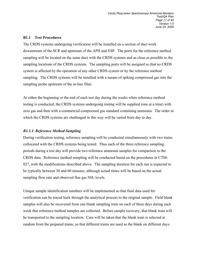#### **B1.1 Test Procedures**

The CRDS systems undergoing verification will be installed on a section of duct work downstream of the SCR and upstream of the APH and ESP. The ports for the reference method sampling will be located on the same duct with the CRDS systems and as close as possible to the sampling locations of the CRDS systems. The sampling ports will be assigned so that no CRDS system is affected by the operation of any other CRDS system or by the reference method sampling. The CRDS systems will be installed with a means of spiking compressed gas into the sampling probe upstream of the in-line filter.

At either the beginning or the end of each test day during the weeks when reference method testing is conducted, the CRDS systems undergoing testing will be supplied (one at a time) with zero gas and then with a commercial compressed gas standard containing ammonia. The order in which the CRDS systems are challenged in this way will be varied from day to day.

#### *B1.1.1 Reference Method Sampling*

During verification testing, reference sampling will be conducted simultaneously with two trains collocated with the CRDS systems being tested. Thus each of the three reference sampling periods during a test day will provide two reference ammonia samples for comparison to the CRDS data. Reference method sampling will be conducted based on the procedures in CTM-027, with the modifications described above. The sampling duration for each run is expected to be typically between 30 and 60 minutes, although actual times will be based on the actual sampling flow rate and observed flue gas NH<sub>3</sub> levels.

Unique sample identification numbers will be implemented so that final data used for verification can be traced back through the analytical process to the original sample. Field blank samples will also be recovered from one blank sampling train on each of three days during each week that reference method samples are collected. Before sample recovery, that blank train will be transported to the sampling location. Care will be taken that the blank train is selected at random from the prepared trains, so that different trains are used as the blank on different days.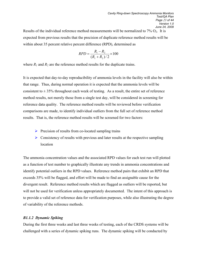Results of the individual reference method measurements will be normalized to  $7\%$  O<sub>2</sub>. It is expected from previous results that the precision of duplicate reference method results will be within about 35 percent relative percent difference (RPD), determined as

$$
RPD = \frac{R_1 - R_2}{(R_1 + R_2)/2} \times 100
$$

where  $R_1$  and  $R_2$  are the reference method results for the duplicate trains.

It is expected that day-to-day reproducibility of ammonia levels in the facility will also be within that range. Thus, during normal operation it is expected that the ammonia levels will be consistent to  $\pm$  35% throughout each week of testing. As a result, the entire set of reference method results, not merely those from a single test day, will be considered in screening for reference data quality. The reference method results will be reviewed before verification comparisons are made, to identify individual outliers from the full set of reference method results. That is, the reference method results will be screened for two factors:

- $\triangleright$  Precision of results from co-located sampling trains
- $\triangleright$  Consistency of results with previous and later results at the respective sampling location

The ammonia concentration values and the associated RPD values for each test run will plotted as a function of test number to graphically illustrate any trends in ammonia concentrations and identify potential outliers in the RPD values. Reference method pairs that exhibit an RPD that exceeds 35% will be flagged, and effort will be made to find an assignable cause for the divergent result. Reference method results which are flagged as outliers will be reported, but will not be used for verification unless appropriately documented. The intent of this approach is to provide a valid set of reference data for verification purposes, while also illustrating the degree of variability of the reference methods.

#### *B1.1.2 Dynamic Spiking*

During the first three weeks and last three weeks of testing, each of the CRDS systems will be challenged with a series of dynamic spiking runs. The dynamic spiking will be conducted by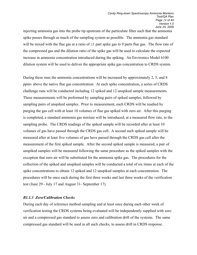injecting ammonia gas into the probe tip upstream of the particulate filter such that the ammonia spike passes through as much of the sampling system as possible. The ammonia gas standard will be mixed with the flue gas at a ratio of  $\leq 1$  part spike gas to 9 parts flue gas. The flow rate of the compressed gas and the dilution ratio of the spike gas will be used to calculate the expected increase in ammonia concentration introduced during the spiking. An Environics Model 6100 dilution system will be used to deliver the appropriate spike gas concentration to CRDS system.

During these runs the ammonia concentrations will be increased by approximately 2, 5, and 8 ppmv above the native flue gas concentration. At each spike concentration, a series of CRDS challenge runs will be conducted including 12 spiked and 12 unspiked sample measurements. These measurements will be performed by sampling pairs of spiked samples, followed by sampling pairs of unspiked samples. Prior to measurement, each CRDS will be readied by purging the gas cell with at least 10 volumes of flue gas spiked with zero air. After this purging is completed, a standard ammonia gas mixture will be introduced, at a measured flow rate, to the sampling probe. The CRDS readings of the spiked sample will be recorded after at least 10 volumes of gas have passed through the CRDS gas cell. A second such spiked sample will be measured after at least five volumes of gas have passed through the CRDS gas cell after the measurement of the first spiked sample. After the second spiked sample is measured, a pair of unspiked samples will be measured following the same procedure as the spiked samples with the exception that zero air will be substituted for the ammonia spike gas. The procedures for the collection of the spiked and unspiked samples will be conducted a total of six times at each of the spike concentrations to obtain 12 spiked and 12 unspiked samples at each concentration. The procedures will be once each during the first three weeks and last three weeks of the verification test (June 29 - July 17 and August 31- September 17).

#### *B1.1.3 Zero/Calibration Checks*

During each day of reference method sampling and at least once during each other week of verification testing the CRDS systems being evaluated will be independently supplied with zero air and a compressed gas standard to assess zero and calibration drift of the systems. The same compressed gas standard will be used in all such checks, to assess drift in CRDS response.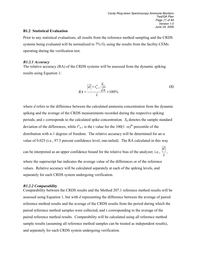#### **B1.2 Statistical Evaluation**

Prior to any statistical evaluations, all results from the reference method sampling and the CRDS systems being evaluated will be normalized to  $7\%$  O<sub>2</sub> using the results from the facility CEMs operating during the verification test.

#### *B1.2.1 Accuracy*

The relative accuracy (RA) of the CRDS systems will be assessed from the dynamic spiking results using Equation 1:

$$
RA = \frac{\left|\overline{d}\right| + t_{n-1}^{\alpha} \frac{S_d}{\sqrt{n}}}{\overline{x}} \times 100\%
$$
 (1)

where *d* refers to the difference between the calculated ammonia concentration from the dynamic spiking and the average of the CRDS measurements recorded during the respective spiking periods, and *x* corresponds to the calculated spike concentration.  $S_d$  denotes the sample standard deviation of the differences, while  $t^{\alpha}_{n-1}$  is the t value for the 100(1 - $\alpha$ )<sup>th</sup> percentile of the distribution with n-1 degrees of freedom. The relative accuracy will be determined for an  $\alpha$ value of 0.025 (i.e., 97.5 percent confidence level, one-tailed). The RA calculated in this way

can be interpreted as an upper confidence bound for the relative bias of the analyzer, i.e., *x*  $\frac{d}{=}$ ,

where the superscript bar indicates the average value of the differences or of the reference values. Relative accuracy will be calculated separately at each of the spiking levels, and separately for each CRDS system undergoing verification.

#### *B1.2.2 Comparability*

Comparability between the CRDS results and the Method 207.1 reference method results will be assessed using Equation 1, but with *d* representing the difference between the average of paired reference method results and the average of the CRDS results from the period during which the paired reference method samples were collected, and *x* corresponding to the average of the paired reference method results. Comparability will be calculated using all reference method sample results (assuming all reference method samples can be treated as independent results), and separately for each CRDS system undergoing verification.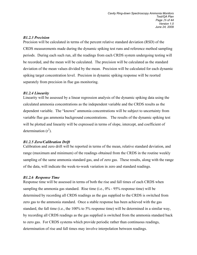#### *B1.2.3 Precision*

Precision will be calculated in terms of the percent relative standard deviation (RSD) of the CRDS measurements made during the dynamic spiking test runs and reference method sampling periods. During each such run, all the readings from each CRDS system undergoing testing will be recorded, and the mean will be calculated. The precision will be calculated as the standard deviation of the mean values divided by the mean. Precision will be calculated for each dynamic spiking target concentration level. Precision in dynamic spiking response will be reorted separately from precision in flue gas monitoring.

#### *B1.2.4 Linearity*

Linearity will be assessed by a linear regression analysis of the dynamic spiking data using the calculated ammonia concentrations as the independent variable and the CRDS results as the dependent variable. The "known" ammonia concentrations will be subject to uncertainty from variable flue gas ammonia background concentrations. The results of the dynamic spiking test will be plotted and linearity will be expressed in terms of slope, intercept, and coefficient of determination  $(r^2)$ .

#### *B1.2.5 Zero/Calibration Drift*

Calibration and zero drift will be reported in terms of the mean, relative standard deviation, and range (maximum and minimum) of the readings obtained from the CRDS in the routine weekly sampling of the same ammonia standard gas, and of zero gas. These results, along with the range of the data, will indicate the week-to-week variation in zero and standard readings.

#### *B1.2.6 Response Time*

Response time will be assessed in terms of both the rise and fall times of each CRDS when sampling the ammonia gas standard. Rise time (i.e., 0% - 95% response time) will be determined by recording all CRDS readings as the gas supplied to the CRDS is switched from zero gas to the ammonia standard. Once a stable response has been achieved with the gas standard, the fall time (i.e., the 100% to 5% response time) will be determined in a similar way, by recording all CRDS readings as the gas supplied is switched from the ammonia standard back to zero gas. For CRDS systems which provide periodic rather than continuous readings, determination of rise and fall times may involve interpolation between readings.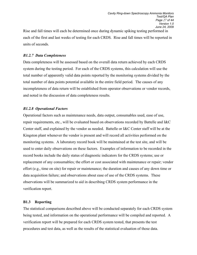Rise and fall times will each be determined once during dynamic spiking testing performed in each of the first and last weeks of testing for each CRDS. Rise and fall times will be reported in units of seconds.

#### *B1.2.7 Data Completeness*

Data completeness will be assessed based on the overall data return achieved by each CRDS system during the testing period. For each of the CRDS systems, this calculation will use the total number of apparently valid data points reported by the monitoring systems divided by the total number of data points potential available in the entire field period. The causes of any incompleteness of data return will be established from operator observations or vendor records, and noted in the discussion of data completeness results.

#### *B1.2.8 Operational Factors*

Operational factors such as maintenance needs, data output, consumables used, ease of use, repair requirements, etc., will be evaluated based on observations recorded by Battelle and I&C Center staff, and explained by the vendor as needed. Battelle or I&C Center staff will be at the Kingston plant whenever the vendor is present and will record all activities performed on the monitoring systems. A laboratory record book will be maintained at the test site, and will be used to enter daily observations on these factors. Examples of information to be recorded in the record books include the daily status of diagnostic indicators for the CRDS systems; use or replacement of any consumables; the effort or cost associated with maintenance or repair; vendor effort (e.g., time on site) for repair or maintenance; the duration and causes of any down time or data acquisition failure; and observations about ease of use of the CRDS systems. These observations will be summarized to aid in describing CRDS system performance in the verification report.

#### **B1.3 Reporting**

The statistical comparisons described above will be conducted separately for each CRDS system being tested, and information on the operational performance will be compiled and reported. A verification report will be prepared for each CRDS system tested, that presents the test procedures and test data, as well as the results of the statistical evaluation of those data.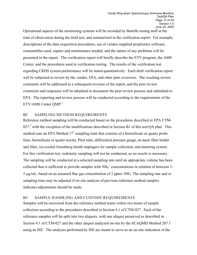Operational aspects of the monitoring systems will be recorded by Battelle testing staff at the time of observation during the field test, and summarized in the verification report. For example, descriptions of the data acquisition procedures, use of vendor-supplied proprietary software, consumables used, repairs and maintenance needed, and the nature of any problems will be presented in the report. The verification report will briefly describe the ETV program, the AMS Center, and the procedures used in verification testing. The results of the verification test regarding CRDS system performance will be stated quantitatively. Each draft verification report will be subjected to review by the vendor, EPA, and other peer reviewers. The resulting review comments will be addressed in a subsequent revision of the report, and the peer review comments and responses will be tabulated to document the peer review process and submitted to EPA. The reporting and review process will be conducted according to the requirements of the  $ETV/AMS$  Center  $QMP<sup>1</sup>$ 

#### B2 SAMPLING METHOD REQUIREMENTS

Reference method sampling will be conducted based on the procedures described in EPA CTM-027,<sup>3</sup> with the exception of the modifications described in Section B1 of this test/QA plan. This method uses an EPA Method  $17<sup>7</sup>$  sampling train that consists of a borosilicate or quartz probe liner, borosilicate or quartz nozzle, Pitot tube, differential pressure gauge, in-stack filter holder and filter, ice-cooled Greenberg-Smith impingers for sample collection, and metering system. For this verification test, isokinetic sampling will not be conducted, so no nozzle is necessary. The sampling will be conducted at a selected sampling rate until an appropriate volume has been collected that is sufficient to provide samples with  $NH_4^+$  concentrations in solution of between 1-5  $\mu$ g/mL, based on an assumed flue gas concentration of 2 ppmv NH<sub>3</sub>. The sampling rate and or sampling time may be adjusted if on-site analysis of previous reference method samples indicates adjustments should be made.

#### B3 SAMPLE HANDLING AND CUSTODY REQUIREMENTS

Samples will be recovered from the reference method trains within two hours of sample collection according to the procedures described in Section 4.1 of CTM-027. Each of the reference samples will be split into two aliquots, with one aliquot preserved as described in Section 4.1 of CTM-027 and the other aliquot analyzed on-site by the SCAQMD Method 207.1 using an ISE. The analyses performed by ISE are meant to serve as an on-site indication of the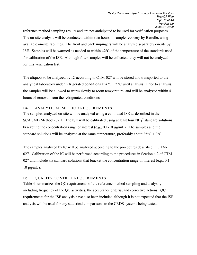reference method sampling results and are not anticipated to be used for verification purposes. The on-site analysis will be conducted within two hours of sample recovery by Battelle, using available on-site facilities. The front and back impingers will be analyzed separately on-site by ISE. Samples will be warmed as needed to within  $\pm 2^{\circ}$ C of the temperature of the standards used for calibration of the ISE. Although filter samples will be collected, they will not be analyzed for this verification test.

The aliquots to be analyzed by IC according to CTM-027 will be stored and transported to the analytical laboratory under refrigerated conditions at 4  $^{\circ}C \pm 2$   $^{\circ}C$  until analysis. Prior to analysis, the samples will be allowed to warm slowly to room temperature, and will be analyzed within 4 hours of removal from the refrigerated conditions.

#### B4 ANALYTICAL METHOD REQUIREMENTS

The samples analyzed on-site will be analyzed using a calibrated ISE as described in the SCAQMD Method 207.1. The ISE will be calibrated using at least four  $NH_4^+$  standard solutions bracketing the concentration range of interest (e.g.,  $0.1$ -10  $\mu$ g/mL). The samples and the standard solutions will be analyzed at the same temperature, preferably about  $25^{\circ}C \pm 2^{\circ}C$ .

The samples analyzed by IC will be analyzed according to the procedures described in CTM-027. Calibration of the IC will be performed according to the procedures in Section 4.2 of CTM-027 and include six standard solutions that bracket the concentration range of interest (e.g., 0.1- $10 \mu g/mL$ ).

#### B5 QUALITY CONTROL REQUIREMENTS

Table 4 summarizes the QC requirements of the reference method sampling and analysis, including frequency of the QC activities, the acceptance criteria, and corrective actions. QC requirements for the ISE analysis have also been included although it is not expected that the ISE analysis will be used for any statistical comparisons to the CRDS systems being tested.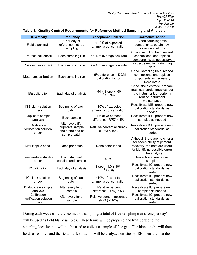| <b>QC Activity</b>                            | <b>Frequency</b>                                                           | <b>Acceptance Criterion</b>                    | <b>Corrective Action</b>                                                                                                                              |
|-----------------------------------------------|----------------------------------------------------------------------------|------------------------------------------------|-------------------------------------------------------------------------------------------------------------------------------------------------------|
| Field blank train                             | 1 per day of<br>reference method<br>sampling                               | < 10% of expected<br>ammonia concentration     | Clean sampling train<br>components; obtain new<br>solvents/solutions                                                                                  |
| Pre-test leak check                           | Each sampling run                                                          | < 4% of average flow rate                      | Check sampling train, reseed<br>connections, and replace<br>components, as necessary.                                                                 |
| Post-test leak check                          | Each sampling run                                                          | < 4% of average flow rate                      | Inspect sampling train, Flag<br>data                                                                                                                  |
| Meter box calibration                         | Each sampling run                                                          | < 5% difference in DGM<br>calibration factor   | Check sampling train, reseed<br>connections, and replace<br>components as necessary.<br>Recalibrate                                                   |
| <b>ISE</b> calibration                        | Each day of analysis                                                       | $-54 \geq$ Slope $\geq -60$<br>$r^2 \ge 0.997$ | Check the electrode, prepare<br>fresh standards, troubleshoot<br>the instrument, or perform<br>routine instrument<br>maintenance                      |
| <b>ISE blank solution</b><br>check            | Beginning of each<br>batch                                                 | <10% of expected<br>ammonia concentration      | Recalibrate ISE, prepare new<br>calibration standards, as<br>needed                                                                                   |
| Duplicate sample<br>analysis                  | Each sample                                                                | Relative percent<br>difference $(RPD) < 5\%$   | Recalibrate ISE, prepare new<br>samples as needed                                                                                                     |
| Calibration<br>verification solution<br>check | After every fifth<br>duplicate sample<br>and at the end of<br>sample batch | Relative percent accuracy<br>(RPA) < 10%       | Recalibrate ISE, prepare new<br>calibration standards, as<br>needed                                                                                   |
| Matrix spike check                            | Once per batch                                                             | None established                               | Although there are no criteria<br>for acceptability of percent<br>recovery, the data are useful<br>for identifying possible errors<br>in the analysis |
| Temperature stability<br>check                | Each standard<br>solution and sample                                       | ±2 °C                                          | Recalibrate, reanalyze<br>samples                                                                                                                     |
| IC calibration                                | Each day of analysis                                                       | Slope = $1.0 \pm 10\%$<br>$r^2 \ge 0.99$       | Recalibrate IC, prepare new<br>calibration standards, as<br>needed                                                                                    |
| IC blank solution<br>check                    | Beginning of each<br>batch                                                 | <10% of expected<br>ammonia concentration      | Recalibrate IC, prepare new<br>calibration standards, as<br>needed                                                                                    |
| IC duplicate sample<br>analysis               | After every tenth<br>sample                                                | Relative percent<br>difference $(RPD) < 5\%$   | Recalibrate IC, prepare new<br>samples as needed                                                                                                      |
| Calibration<br>verification solution<br>check | After every tenth<br>sample                                                | Relative percent accuracy<br>(RPA) < 10%       | Recalibrate IC, prepare new<br>calibration standards, as<br>needed                                                                                    |

#### **Table 4. Quality Control Requirements for Reference Method Sampling and Analysis**

During each week of reference method sampling, a total of five sampling trains (one per day) will be used as field blank samples. These trains will be prepared and transported to the sampling location but will not be used to collect a sample of flue gas. The blank trains will then be disassembled and the field blank solutions will be analyzed on-site by ISE to ensure that the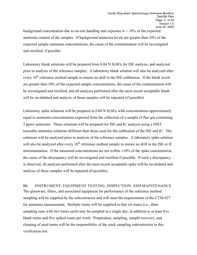background concentration due to on-site handling and exposure is  $\leq 10\%$  of the expected ammonia content of the samples. If background ammonia levels are greater than 10% of the expected sample ammonia concentrations, the cause of the contamination will be investigated and rectified, if possible.

Laboratory blank solutions will be prepared from  $0.04 \text{ N H}_2\text{SO}_4$  for ISE analysis, and analyzed prior to analysis of the reference samples. A laboratory blank solution will also be analyzed after every 10<sup>th</sup> reference method sample to ensure no drift in the ISE calibration. If the blank levels are greater than 10% of the expected sample concentrations, the cause of the contamination will be investigated and rectified, and all analyses performed after the most recent acceptable blank will be invalidated and analysis of those samples will be repeated (if possible).

Laboratory spike solutions will be prepared in  $0.04 \text{ N H}_2\text{SO}_4$  with concentrations approximately equal to ammonia concentrations expected from the collection of a sample of flue gas containing 2 ppmv ammonia. These solutions will be prepared for ISE and IC analysis using a NIST traceable ammonia solutions different than those used for the calibration of the ISE and IC. The solutions will be analyzed prior to analysis of the reference samples. A laboratory spike solution will also be analyzed after every  $10^{th}$  reference method sample to ensure no drift in the ISE or IC instrumentation. If the measured concentrations are not within  $\pm 10\%$  of the spike concentration, the cause of the discrepancy will be investigated and rectified if possible. If such a discrepancy is observed, all analyses performed after the most recent acceptable spike will be invalidated and analysis of those samples will be repeated (if possible).

B6 INSTRUMENT/ EQUIPMENT TESTING, INSPECTION, AND MAINTENANCE The glassware, filters, and associated equipment for performance of the reference method sampling will be supplied by the subcontractor and will meet the requirements of the CTM-027 for ammonia measurement. Multiple trains will be supplied so that six trains (i.e., three sampling runs with two trains each) may be sampled in a single day, in addition to at least five blank trains and five spiked trains per week. Preparation, sampling, sample recovery, and cleaning of used trains will be the responsibility of the stack sampling subcontractor in this verification test.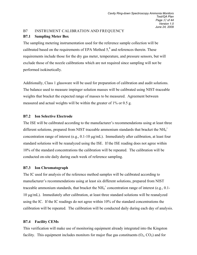#### B7 INSTRUMENT CALIBRATION AND FREQUENCY

#### **B7.1 Sampling Meter Box**

The sampling metering instrumentation used for the reference sample collection will be calibrated based on the requirements of EPA Method  $5<sup>8</sup>$  and references therein. These requirements include those for the dry gas meter, temperature, and pressure sensors, but will exclude those of the nozzle calibrations which are not required since sampling will not be performed isokinetically.

Additionally, Class 1 glassware will be used for preparation of calibration and audit solutions. The balance used to measure impinger solution masses will be calibrated using NIST-traceable weights that bracket the expected range of masses to be measured. Agreement between measured and actual weights will be within the greater of 1% or 0.5 g.

#### **B7.2 Ion Selective Electrode**

The ISE will be calibrated according to the manufacturer's recommendations using at least three different solutions, prepared from NIST traceable ammonium standards that bracket the NH $_4^+$ concentration range of interest (e.g., 0.1-10 µg/mL). Immediately after calibration, at least four standard solutions will be reanalyzed using the ISE. If the ISE reading does not agree within 10% of the standard concentrations the calibration will be repeated. The calibration will be conducted on-site daily during each week of reference sampling.

#### **B7.3 Ion Chromatograph**

The IC used for analysis of the reference method samples will be calibrated according to manufacturer's recommendations using at least six different solutions, prepared from NIST traceable ammonium standards, that bracket the NH $_4^+$  concentration range of interest (e.g., 0.1-10 µg/mL). Immediately after calibration, at least three standard solutions will be reanalyzed using the IC. If the IC readings do not agree within 10% of the standard concentrations the calibration will be repeated. The calibration will be conducted daily during each day of analysis.

#### **B7.4 Facility CEMs**

This verification will make use of monitoring equipment already integrated into the Kingston facility. This equipment includes monitors for major flue gas constituents  $(O_2, CO_2)$  and for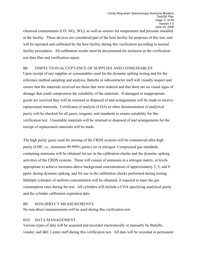chemical contaminants  $(CO, NO<sub>x</sub>, SO<sub>2</sub>)$ , as well as sensors for temperature and pressure installed at the facility. These devices are considered part of the host facility for purposes of this test, and will be operated and calibrated by the host facility during this verification according to normal facility procedures. All calibration results must be documented for inclusion in the verification test data files and verification report.

#### B8 INSPECTION/ACCEPTANCE OF SUPPLIES AND CONSUMABLES

Upon receipt of any supplies or consumables used for the dynamic spiking testing and for the reference method sampling and analysis, Battelle or subcontractor staff will visually inspect and ensure that the materials received are those that were ordered and that there are no visual signs of damage that could compromise the suitability of the materials. If damaged or inappropriate goods are received they will be returned or disposed of and arrangements will be made to receive replacement materials. Certificates of analysis (COA) or other documentation of analytical purity will be checked for all gases, reagents, and standards to ensure suitability for this verification test. Unsuitable materials will be returned or disposed of and arrangements for the receipt of replacement materials will be made.

The high purity gases used for zeroing of the CRDS systems will be commercial ultra-high purity (UHP, i.e., minimum 99.999% purity) air or nitrogen. Compressed gas standards containing ammonia will be obtained for use in the calibration checks and the dynamic spiking activities of the CRDS systems. These will consist of ammonia in a nitrogen matrix, at levels appropriate to achieve increases above background concentrations of approximately 2, 5, and 8 ppmv during dynamic spiking, and for use in the calibration checks performed during testing. Multiple cylinders of uniform concentration will be obtained, if required to meet the gas consumption rates during the test. All cylinders will include a COA specifying analytical purity and the cylinder calibration expiration date.

#### B9 NON-DIRECT MEASUREMENTS

No non-direct measurements will be used during this verification test.

#### B10 DATA MANAGEMENT

Various types of data will be acquired and recorded electronically or manually by Battelle, vendor, and I&C Center staff during this verification test. All data will be recorded in permanent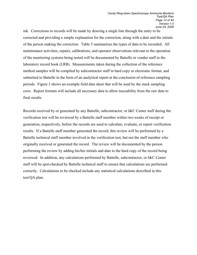ink. Corrections to records will be made by drawing a single line through the entry to be corrected and providing a simple explanation for the correction, along with a date and the initials of the person making the correction. Table 5 summarizes the types of data to be recorded. All maintenance activities, repairs, calibrations, and operator observations relevant to the operation of the monitoring systems being tested will be documented by Battelle or vendor staff in the laboratory record book (LRB). Measurements taken during the collection of the reference method samples will be compiled by subcontractor staff in hard copy or electronic format, and submitted to Battelle in the form of an analytical report at the conclusion of reference sampling periods. Figure 3 shows an example field data sheet that will be used by the stack sampling crew. Report formats will include all necessary data to allow traceability from the raw data to final results.

Records received by or generated by any Battelle, subcontractor, or I&C Center staff during the verification test will be reviewed by a Battelle staff member within two weeks of receipt or generation, respectively, before the records are used to calculate, evaluate, or report verification results. If a Battelle staff member generated the record, this review will be performed by a Battelle technical staff member involved in the verification test, but not the staff member who originally received or generated the record. The review will be documented by the person performing the review by adding his/her initials and date to the hard copy of the record being reviewed. In addition, any calculations performed by Battelle, subcontractor, or I&C Center staff will be spot-checked by Battelle technical staff to ensure that calculations are performed correctly. Calculations to be checked include any statistical calculations described in this test/QA plan.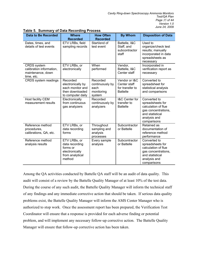| <b>Data to Be Recorded</b>                                                        | <b>Where</b><br><b>Recorded</b>                                                           | <b>How Often</b><br><b>Recorded</b>                         | <b>By Whom</b>                                                      | <b>Disposition of Data</b>                                                                                                       |
|-----------------------------------------------------------------------------------|-------------------------------------------------------------------------------------------|-------------------------------------------------------------|---------------------------------------------------------------------|----------------------------------------------------------------------------------------------------------------------------------|
| Dates, times, and<br>details of test events                                       | ETV LRBs, field<br>sampling records                                                       | Start/end of<br>test event                                  | Battelle, I&C<br>Staff, and<br>subcontractor<br>staff               | Used to<br>organize/check test<br>results; manually<br>incorporated in data<br>spreadsheets as<br>necessary                      |
| <b>CRDS</b> system<br>calibration information,<br>maintenance, down<br>time, etc. | ETV LRBs, or<br>electronically                                                            | When<br>performed                                           | Vendor,<br>Battelle, I&C<br>Center staff                            | Incorporated in<br>verification report as<br>necessary                                                                           |
| CRDS system readings                                                              | Recorded<br>electronically by<br>each monitor and<br>then downloaded<br>to computer daily | Recorded<br>continuously by<br>each<br>monitoring<br>system | Vendor or I&C<br>Center staff<br>for transfer to<br><b>Battelle</b> | Converted to<br>spreadsheet for<br>statistical analysis<br>and comparisons                                                       |
| Host facility CEM<br>measurement results                                          | Electronically<br>from continuous<br>gas analyzers                                        | Recorded<br>continuously by<br>analyzers                    | I&C Center for<br>transfer to<br><b>Battelle</b>                    | Converted to<br>spreadsheets for<br>calculation of flue<br>gas concentrations,<br>and statistical<br>analysis and<br>comparisons |
| Reference method<br>procedures,<br>calibrations, QA, etc.                         | ETV LRBs, or<br>data recording<br>forms                                                   | Throughout<br>sampling and<br>analysis<br>processes         | Subcontractor<br>or Battelle                                        | Retained as<br>documentation of<br>reference method<br>performance                                                               |
| Reference method<br>analysis results                                              | ETV LRBs, or<br>data recording<br>forms or<br>electronically<br>from analytical<br>method | Every sample<br>analysis                                    | Subcontractor<br>or Battelle                                        | Converted to<br>spreadsheets for<br>calculation of flue<br>gas concentrations,<br>and statistical<br>analysis and<br>comparisons |

Among the QA activities conducted by Battelle QA staff will be an audit of data quality. This audit will consist of a review by the Battelle Quality Manager of at least 10% of the test data. During the course of any such audit, the Battelle Quality Manager will inform the technical staff of any findings and any immediate corrective action that should be taken. If serious data quality problems exist, the Battelle Quality Manager will inform the AMS Center Manager who is authorized to stop work. Once the assessment report has been prepared, the Verification Test Coordinator will ensure that a response is provided for each adverse finding or potential problem, and will implement any necessary follow-up corrective action. The Battelle Quality Manager will ensure that follow-up corrective action has been taken.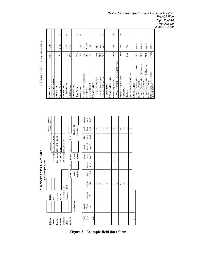EPA Method CTM-027 Data Entry and Calculations

| osttest  |                                                         |                 |                      |           |
|----------|---------------------------------------------------------|-----------------|----------------------|-----------|
| weight   | <b>Entered Data</b>                                     | symbol          | units                |           |
|          | <b>General Information</b>                              |                 |                      |           |
|          | EPA Method 2                                            |                 |                      |           |
|          | Barometric Pressure                                     | Ê               | in Hg                | $\bullet$ |
|          | EPA Method 3                                            |                 |                      |           |
|          | $O2$ Concentration                                      | $\mathsf{O}_2$  | %yd                  | 0         |
|          | CO <sub>2</sub> Concentration                           | $\rm{CO}^2$     | 96yd                 | $\circ$   |
|          | EPA Method 4                                            |                 |                      |           |
|          | Meter Factor                                            | Ym              |                      | $\circ$   |
|          | Meter Volume                                            | $\zeta$         | f2                   | $\circ$   |
| sxit gas | Average Meter Temperature                               | E               | $\frac{\mu}{\sigma}$ |           |
| temp     | Average dH                                              | Ħ               | in $H_2O$            |           |
| deg F    | Condensate Catch                                        | yιc             | $\overline{E}$       |           |
|          | EPA Method 027                                          |                 |                      |           |
|          | C analysis-1st Impinger                                 | Mpl             | mg/l                 |           |
|          | C analysis-2nd Impinger                                 | Mp2             | mg1                  | 0         |
|          | IC analysis-3rd Impinger                                | Mp <sub>3</sub> | mg/l                 | $\circ$   |
|          | Jalculated Data                                         |                 |                      |           |
|          | EPA Method 2, 3, and 4                                  |                 |                      |           |
|          | Standard Dry Volume                                     | Vmstd           | dscf                 | 0.00      |
|          | $Vm*Ym*17.64*(dH+Pb/13.6)/(460+Tm))$                    |                 |                      |           |
|          | Equivalent Vapor Volume                                 | Vwstd           | $\operatorname{scf}$ | 0.00      |
|          | $Vlc*0.04707$                                           |                 |                      |           |
|          | Moisture                                                | <b>Bws</b>      | $\sqrt{6}$           |           |
|          | Vwstd/(Vwstd+Vmstd))*100                                |                 |                      |           |
|          | EPA Method 027                                          |                 |                      |           |
|          | Ammonia Concentration - 1st Impinger<br>.59*(Mp1/Vmstd) | Mc1             | ppmvd                |           |
|          | Ammonia Concentration - 2nd Impinger<br>.59*(Mp2/Vmstd) | Mc <sub>2</sub> | ppmvd                |           |
|          | Ammonia Concentration - 3rd Impinger<br>.59*(Mp3/Vmstd) | Mc3             | ppmvd                |           |
|          | <b>Total Ammonia Concentration</b><br>Mc1+Mc2+Mc3       | Mctotal         | ppmvd                |           |
|          |                                                         |                 |                      |           |



**Figure 3. Example field data form.** 

#### *Cavity Ring-down Spectroscopy Ammonia Monitors Test/QA Plan Page 36 of 44 Version 1.0*

*June 24, 2009*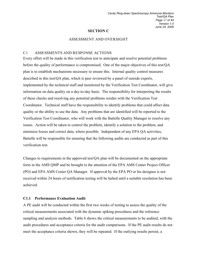#### **SECTION C**

#### ASSESSMENT AND OVERSIGHT

#### C1 ASSESSMENTS AND RESPONSE ACTIONS

Every effort will be made in this verification test to anticipate and resolve potential problems before the quality of performance is compromised. One of the major objectives of this test/QA plan is to establish mechanisms necessary to ensure this. Internal quality control measures described in this test/QA plan, which is peer reviewed by a panel of outside experts, implemented by the technical staff and monitored by the Verification Test Coordinator, will give information on data quality on a day-to-day basis. The responsibility for interpreting the results of these checks and resolving any potential problems resides with the Verification Test Coordinator. Technical staff have the responsibility to identify problems that could affect data quality or the ability to use the data. Any problems that are identified will be reported to the Verification Test Coordinator, who will work with the Battelle Quality Manager to resolve any issues. Action will be taken to control the problem, identify a solution to the problem, and minimize losses and correct data, where possible. Independent of any EPA QA activities, Battelle will be responsible for ensuring that the following audits are conducted as part of this verification test.

Changes to requirements in the approved test/QA plan will be documented on the appropriate form in the AMS QMP and be brought to the attention of the EPA AMS Center Project Officer (PO) and EPA AMS Center QA Manager. If approval by the EPA PO or his designee is not received within 24 hours of notification testing will be halted until a suitable resolution has been achieved.

#### **C1.1 Performance Evaluation Audit**

A PE audit will be conducted within the first two weeks of testing to assess the quality of the critical measurements associated with the dynamic spiking procedures and the reference sampling and analysis methods. Table 6 shows the critical measurements to be audited, with the audit procedures and acceptance criteria for the audit comparisons. If the PE audit results do not meet the acceptance criteria shown, they will be repeated. If the outlying results persist, a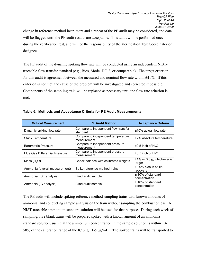change in reference method instrument and a repeat of the PE audit may be considered, and data will be flagged until the PE audit results are acceptable. This audit will be performed once during the verification test, and will be the responsibility of the Verification Test Coordinator or designee.

The PE audit of the dynamic spiking flow rate will be conducted using an independent NISTtraceable flow transfer standard (e.g., Bios, Model DC-2, or comparable). The target criterion for this audit is agreement between the measured and nominal flow rate within  $\pm 10\%$ . If this criterion is not met, the cause of the problem will be investigated and corrected if possible. Components of the sampling train will be replaced as necessary until the flow rate criterion is met.

| <b>Critical Measurement</b>           | <b>PE Audit Method</b>                            | <b>Acceptance Criteria</b>              |
|---------------------------------------|---------------------------------------------------|-----------------------------------------|
| Dynamic spiking flow rate             | Compare to independent flow transfer<br>standard  | $±10\%$ actual flow rate                |
| <b>Stack Temperature</b>              | Compare to independent temperature<br>measurement | ±2% absolute temperature                |
| <b>Barometric Pressure</b>            | Compare to independent pressure<br>measurement    | $\pm 0.5$ inch of H <sub>2</sub> O      |
| <b>Flue Gas Differential Pressure</b> | Compare to independent pressure<br>measurement    | $\pm 0.5$ inch of H <sub>2</sub> O      |
| Mass $(H2O)$                          | Check balance with calibrated weights             | $±1\%$ or 0.5 g, whichever is<br>larger |
| Ammonia (overall measurement)         | Spike reference method trains                     | $±$ 20% bias in spike<br>recovery       |
| Ammonia (ISE analysis)                | Blind audit sample                                | $±$ 10% of standard<br>concentration    |
| Ammonia (IC analysis)                 | Blind audit sample                                | $±$ 10% of standard<br>concentration    |

**Table 6. Methods and Acceptance Criteria for PE Audit Measurements**

The PE audit will include spiking reference method sampling trains with known amounts of ammonia, and conducting sample analysis on the train without sampling the combustion gas. A NIST-traceable ammonium standard solution will be used for that purpose. During each week of sampling, five blank trains will be prepared spiked with a known amount of an ammonia standard solution, such that the ammonium concentration in the sample solution is within 10- 50% of the calibration range of the IC (e.g., 1-5 µg/mL). The spiked trains will be transported to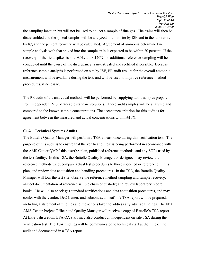the sampling location but will not be used to collect a sample of flue gas. The trains will then be disassembled and the spiked samples will be analyzed both on-site by ISE and in the laboratory by IC, and the percent recovery will be calculated. Agreement of ammonia determined in sample analysis with that spiked into the sample train is expected to be within 20 percent. If the recovery of the field spikes is not >80% and <120%, no additional reference sampling will be conducted until the cause of the discrepancy is investigated and rectified if possible. Because reference sample analysis is performed on site by ISE, PE audit results for the overall ammonia measurement will be available during the test, and will be used to improve reference method procedures, if necessary.

The PE audit of the analytical methods will be performed by supplying audit samples prepared from independent NIST-traceable standard solutions. These audit samples will be analyzed and compared to the known sample concentrations. The acceptance criterion for this audit is for agreement between the measured and actual concentrations within  $\pm 10\%$ .

#### **C1.2 Technical Systems Audits**

The Battelle Quality Manager will perform a TSA at least once during this verification test. The purpose of this audit is to ensure that the verification test is being performed in accordance with the AMS Center QMP,<sup>1</sup> this test/QA plan, published reference methods, and any SOPs used by the test facility. In this TSA, the Battelle Quality Manager, or designee, may review the reference methods used, compare actual test procedures to those specified or referenced in this plan, and review data acquisition and handling procedures. In the TSA, the Battelle Quality Manager will tour the test site; observe the reference method sampling and sample recovery; inspect documentation of reference sample chain of custody; and review laboratory record books. He will also check gas standard certifications and data acquisition procedures, and may confer with the vendor, I&C Center, and subcontractor staff. A TSA report will be prepared, including a statement of findings and the actions taken to address any adverse findings. The EPA AMS Center Project Officer and Quality Manager will receive a copy of Battelle's TSA report. At EPA's discretion, EPA QA staff may also conduct an independent on-site TSA during the verification test. The TSA findings will be communicated to technical staff at the time of the audit and documented in a TSA report.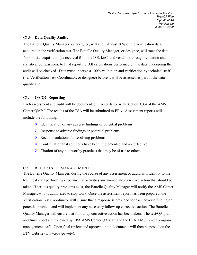#### **C1.3 Data Quality Audits**

The Battelle Quality Manager, or designee, will audit at least 10% of the verification data acquired in the verification test. The Battelle Quality Manager, or designee, will trace the data from initial acquisition (as received from the ISE, I&C, and vendors), through reduction and statistical comparisons, to final reporting. All calculations performed on the data undergoing the audit will be checked. Data must undergo a 100% validation and verification by technical staff (i.e. Verification Test Coordinator, or designee) before it will be assessed as part of the data quality audit.

#### **C1.4 QA/QC Reporting**

Each assessment and audit will be documented in accordance with Section 3.3.4 of the AMS Center  $QMP$ <sup>1</sup>. The results of the TSA will be submitted to EPA. Assessment reports will include the following:

- $\triangleright$  Identification of any adverse findings or potential problems
- $\triangleright$  Response to adverse findings or potential problems
- $\triangleright$  Recommendations for resolving problems
- $\triangleright$  Confirmation that solutions have been implemented and are effective
- $\triangleright$  Citation of any noteworthy practices that may be of use to others.

#### C2 REPORTS TO MANAGEMENT

The Battelle Quality Manager, during the course of any assessment or audit, will identify to the technical staff performing experimental activities any immediate corrective action that should be taken. If serious quality problems exist, the Battelle Quality Manager will notify the AMS Center Manager, who is authorized to stop work. Once the assessment report has been prepared, the Verification Test Coordinator will ensure that a response is provided for each adverse finding or potential problem and will implement any necessary follow-up corrective action. The Battelle Quality Manager will ensure that follow-up corrective action has been taken. The test/QA plan and final report are reviewed by EPA AMS Center QA staff and the EPA AMS Center program management staff. Upon final review and approval, both documents will then be posted on the ETV website (www.epa.gov/etv).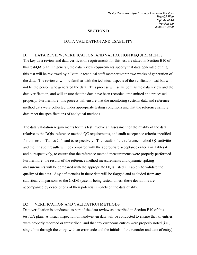#### **SECTION D**

#### DATA VALIDATION AND USABILITY

#### D1 DATA REVIEW, VERIFICATION, AND VALIDATION REQUIREMENTS

The key data review and data verification requirements for this test are stated in Section B10 of this test/QA plan. In general, the data review requirements specify that data generated during this test will be reviewed by a Battelle technical staff member within two weeks of generation of the data. The reviewer will be familiar with the technical aspects of the verification test but will not be the person who generated the data. This process will serve both as the data review and the data verification, and will ensure that the data have been recorded, transmitted and processed properly. Furthermore, this process will ensure that the monitoring systems data and reference method data were collected under appropriate testing conditions and that the reference sample data meet the specifications of analytical methods.

The data validation requirements for this test involve an assessment of the quality of the data relative to the DQIs, reference method QC requirements, and audit acceptance criteria specified for this test in Tables 2, 4, and 6, respectively. The results of the reference method QC activities and the PE audit results will be compared with the appropriate acceptance criteria in Tables 4 and 6, respectively, to ensure that the reference method measurements were properly performed. Furthermore, the results of the reference method measurements and dynamic spiking measurements will be compared with the appropriate DQIs listed in Table 2 to validate the quality of the data. Any deficiencies in these data will be flagged and excluded from any statistical comparisons to the CRDS systems being tested, unless these deviations are accompanied by descriptions of their potential impacts on the data quality.

#### D2 VERIFICATION AND VALIDATION METHODS

Data verification is conducted as part of the data review as described in Section B10 of this test/QA plan. A visual inspection of handwritten data will be conducted to ensure that all entries were properly recorded or transcribed, and that any erroneous entries were properly noted (i.e., single line through the entry, with an error code and the initials of the recorder and date of entry).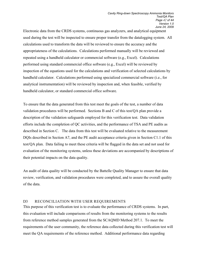Electronic data from the CRDS systems, continuous gas analyzers, and analytical equipment used during the test will be inspected to ensure proper transfer from the datalogging system. All calculations used to transform the data will be reviewed to ensure the accuracy and the appropriateness of the calculations. Calculations performed manually will be reviewed and repeated using a handheld calculator or commercial software (e.g., Excel). Calculations performed using standard commercial office software (e.g., Excel) will be reviewed by inspection of the equations used for the calculations and verification of selected calculations by handheld calculator. Calculations performed using specialized commercial software (i.e., for analytical instrumentation) will be reviewed by inspection and, when feasible, verified by handheld calculator, or standard commercial office software.

To ensure that the data generated from this test meet the goals of the test, a number of data validation procedures will be performed. Sections B and C of this test/QA plan provide a description of the validation safeguards employed for this verification test. Data validation efforts include the completion of QC activities, and the performance of TSA and PE audits as described in Section C. The data from this test will be evaluated relative to the measurement DQIs described in Section A7, and the PE audit acceptance criteria given in Section C1.1 of this test/QA plan. Data failing to meet these criteria will be flagged in the data set and not used for evaluation of the monitoring systems, unless these deviations are accompanied by descriptions of their potential impacts on the data quality.

An audit of data quality will be conducted by the Battelle Quality Manager to ensure that data review, verification, and validation procedures were completed, and to assure the overall quality of the data.

#### D3 RECONCILIATION WITH USER REQUIREMENTS

This purpose of this verification test is to evaluate the performance of CRDS systems. In part, this evaluation will include comparisons of results from the monitoring systems to the results from reference method samples generated from the SCAQMD Method 207.1. To meet the requirements of the user community, the reference data collected during this verification test will meet the QA requirements of the reference method. Additional performance data regarding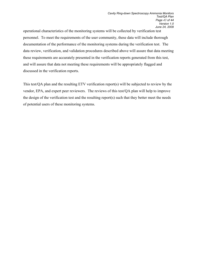operational characteristics of the monitoring systems will be collected by verification test personnel. To meet the requirements of the user community, these data will include thorough documentation of the performance of the monitoring systems during the verification test. The data review, verification, and validation procedures described above will assure that data meeting these requirements are accurately presented in the verification reports generated from this test, and will assure that data not meeting these requirements will be appropriately flagged and discussed in the verification reports.

This test/QA plan and the resulting ETV verification report(s) will be subjected to review by the vendor, EPA, and expert peer reviewers. The reviews of this test/QA plan will help to improve the design of the verification test and the resulting report(s) such that they better meet the needs of potential users of these monitoring systems.